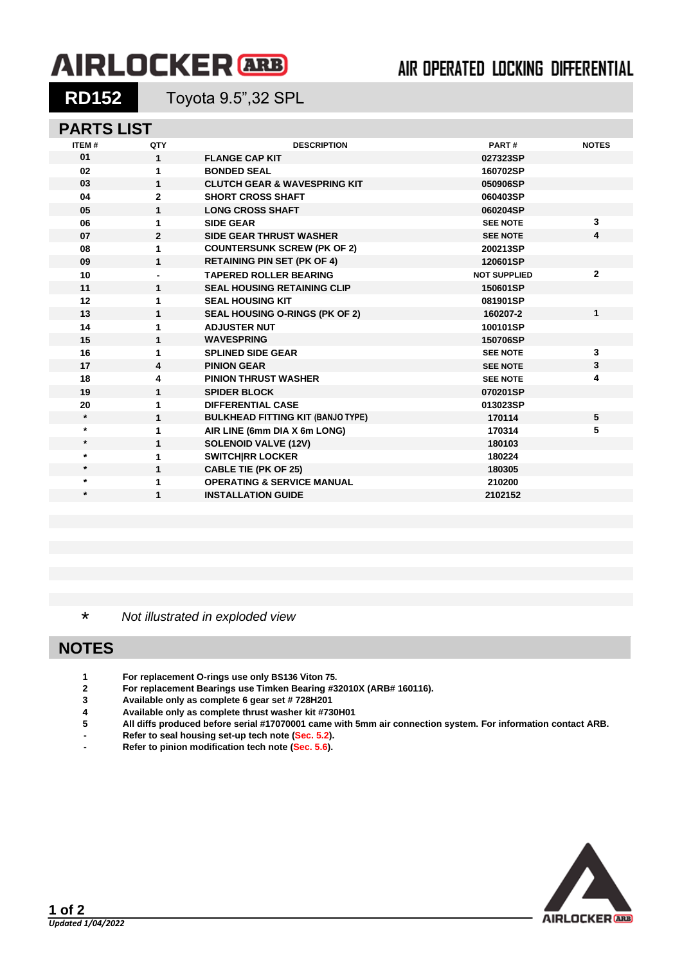# **AIRLOCKER** ARB

## AIR OPERATED LOCKING DIFFERENTIAL

**RD152** Toyota 9.5",32 SPL

## **PARTS LIST**

| <b>ITEM#</b> | QTY            | <b>DESCRIPTION</b>                       | PART#               | <b>NOTES</b> |
|--------------|----------------|------------------------------------------|---------------------|--------------|
| 01           | 1              | <b>FLANGE CAP KIT</b>                    | 027323SP            |              |
| 02           | 1              | <b>BONDED SEAL</b>                       | 160702SP            |              |
| 03           | 1              | <b>CLUTCH GEAR &amp; WAVESPRING KIT</b>  | 050906SP            |              |
| 04           | $\overline{2}$ | <b>SHORT CROSS SHAFT</b>                 | 060403SP            |              |
| 05           | 1              | <b>LONG CROSS SHAFT</b>                  | 060204SP            |              |
| 06           | 1              | <b>SIDE GEAR</b>                         | <b>SEE NOTE</b>     | 3            |
| 07           | $\mathbf{2}$   | <b>SIDE GEAR THRUST WASHER</b>           | <b>SEE NOTE</b>     | 4            |
| 08           | 1              | <b>COUNTERSUNK SCREW (PK OF 2)</b>       | 200213SP            |              |
| 09           | $\mathbf{1}$   | <b>RETAINING PIN SET (PK OF 4)</b>       | 120601SP            |              |
| 10           |                | <b>TAPERED ROLLER BEARING</b>            | <b>NOT SUPPLIED</b> | $\mathbf{2}$ |
| 11           | 1              | <b>SEAL HOUSING RETAINING CLIP</b>       | 150601SP            |              |
| 12           | 1              | <b>SEAL HOUSING KIT</b>                  | 081901SP            |              |
| 13           | 1              | <b>SEAL HOUSING O-RINGS (PK OF 2)</b>    | 160207-2            | $\mathbf{1}$ |
| 14           | 1              | <b>ADJUSTER NUT</b>                      | 100101SP            |              |
| 15           | 1              | <b>WAVESPRING</b>                        | 150706SP            |              |
| 16           | 1              | <b>SPLINED SIDE GEAR</b>                 | <b>SEE NOTE</b>     | 3            |
| 17           | 4              | <b>PINION GEAR</b>                       | <b>SEE NOTE</b>     | 3            |
| 18           | 4              | <b>PINION THRUST WASHER</b>              | <b>SEE NOTE</b>     | 4            |
| 19           | $\mathbf{1}$   | <b>SPIDER BLOCK</b>                      | 070201SP            |              |
| 20           | 1              | <b>DIFFERENTIAL CASE</b>                 | 013023SP            |              |
| $\star$      | 1              | <b>BULKHEAD FITTING KIT (BANJO TYPE)</b> | 170114              | 5            |
| $\star$      | 1              | AIR LINE (6mm DIA X 6m LONG)             | 170314              | 5            |
| $\star$      | 1              | <b>SOLENOID VALVE (12V)</b>              | 180103              |              |
| $\star$      | 1              | <b>SWITCHIRR LOCKER</b>                  | 180224              |              |
| $\star$      | 1              | <b>CABLE TIE (PK OF 25)</b>              | 180305              |              |
| $\star$      | 1              | <b>OPERATING &amp; SERVICE MANUAL</b>    | 210200              |              |
| $\star$      | 1              | <b>INSTALLATION GUIDE</b>                | 2102152             |              |
|              |                |                                          |                     |              |

\* *Not illustrated in exploded view*

### **NOTES**

- **1 For replacement O-rings use only BS136 Viton 75.**
- **2 For replacement Bearings use Timken Bearing #32010X (ARB# 160116).**
- **3 Available only as complete 6 gear set # 728H201**
- **4 Available only as complete thrust washer kit #730H01**
- **5 All diffs produced before serial #17070001 came with 5mm air connection system. For information contact ARB.**
- **- Refer to seal housing set-up tech note [\(Sec. 5.2\)](5-02.pdf).**
- **- Refer to pinion modification tech note [\(Sec. 5.6\)](5-06.pdf).**